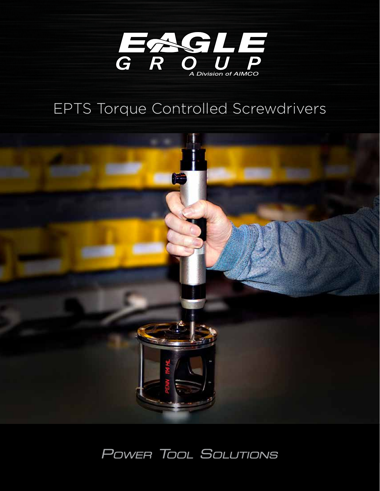

# EPTS Torque Controlled Screwdrivers



## POWER TOOL SOLUTIONS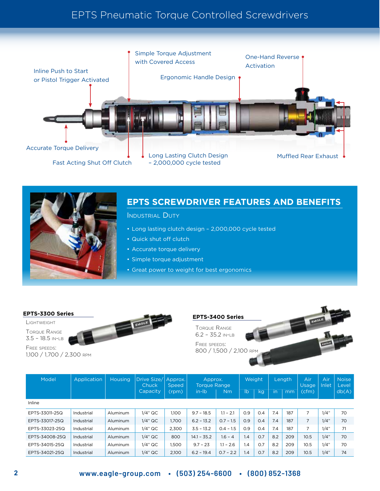## EPTS Pneumatic Torque Controlled Screwdrivers





### **EPTS SCREWDRIVER FEATURES AND BENEFITS**

INDUSTRIAL DUTY

- Long lasting clutch design 2,000,000 cycle tested
- Quick shut off clutch
- Accurate torque delivery
- Simple torque adjustment
- Great power to weight for best ergonomics

Lightweight

Torque Range 3.5 – 18.5 in-lb

Free speeds: 1,100 / 1,700 / 2,300 rpm





TORQUE RANGE 6.2 – 35.2 in-lb

Free speeds: 800 / 1,500 / 2,100 RPM



| Model          | Application | <b>Housing</b>  | Drive Size/<br>Chuck | Approx.<br>Speed | Approx.<br><b>Torque Range</b> |             | Weight         |     | Length |     | Air.<br><b>Usage</b> | Air<br>Inlet | <b>Noise</b><br>Level |
|----------------|-------------|-----------------|----------------------|------------------|--------------------------------|-------------|----------------|-----|--------|-----|----------------------|--------------|-----------------------|
|                |             |                 | Capacity             | (rpm)            | in-lb                          | Nm          | I <sub>b</sub> | kq  | in     | mm  | (cfm)                |              | db(A)                 |
| Inline         |             |                 |                      |                  |                                |             |                |     |        |     |                      |              |                       |
| EPTS-33011-25Q | Industrial  | Aluminum        | $1/4"$ QC            | 1.100            | $9.7 - 18.5$                   | $1.1 - 2.1$ | 0.9            | O.4 | 7.4    | 187 | 7                    | 1/4"         | 70                    |
| EPTS-33017-25Q | Industrial  | Aluminum        | $1/4"$ QC            | 1,700            | $6.2 - 13.2$                   | $0.7 - 1.5$ | 0.9            | O.4 | 7.4    | 187 | $\overline{7}$       | 1/4"         | 70                    |
| EPTS-33023-25Q | Industrial  | Aluminum        | $1/4"$ QC            | 2,300            | $3.5 - 13.2$                   | $0.4 - 1.5$ | 0.9            | O.4 | 7.4    | 187 |                      | 1/4"         | 71                    |
| EPTS-34008-25Q | Industrial  | <b>Aluminum</b> | $1/4"$ QC            | 800              | $14.1 - 35.2$                  | $1.6 - 4$   | 1.4            | 0.7 | 8.2    | 209 | 10.5                 | 1/4"         | 70                    |
| EPTS-34015-25Q | Industrial  | Aluminum        | $1/4"$ QC            | 1,500            | $9.7 - 23$                     | $1.1 - 2.6$ | 1.4            | O.7 | 8.2    | 209 | 10.5                 | 1/4"         | 70                    |
| EPTS-34021-25Q | Industrial  | Aluminum        | $1/4"$ QC            | 2.100            | $6.2 - 19.4$                   | $0.7 - 2.2$ | 1.4            | 0.7 | 8.2    | 209 | 10.5                 | 1/4"         | 74                    |

#### **2 www.eagle-group.com • (503) 254-6600 • (800) 852-1368**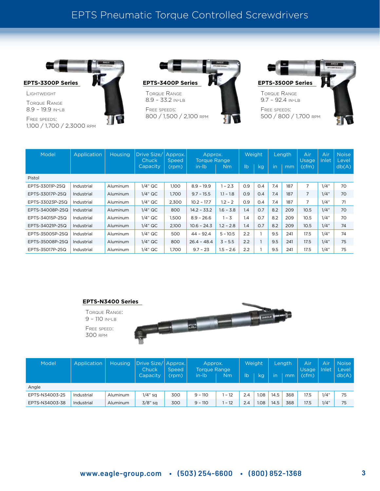## EPTS Pneumatic Torque Controlled Screwdrivers



Torque Range

8.9 – 19.9 in-lb Free speeds: 1,100 / 1,700 / 2,3000 rpm







| Model           | Application | <b>Housing</b> | Drive Size/<br>Chuck | Approx.<br>Speed | Approx.<br><b>Torque Range</b> |             | Weight        |     | Length |     | Air<br><b>Usage</b> | Air<br>Inlet | <b>Noise</b><br>Level |
|-----------------|-------------|----------------|----------------------|------------------|--------------------------------|-------------|---------------|-----|--------|-----|---------------------|--------------|-----------------------|
|                 |             |                | Capacity             | (rpm)            | in-lb                          | Nm          | $\mathsf{lb}$ | kg  | in     | mm  | (cfm)               |              | db(A)                 |
| Pistol          |             |                |                      |                  |                                |             |               |     |        |     |                     |              |                       |
| EPTS-33011P-25Q | Industrial  | Aluminum       | $1/4"$ QC            | 1.100            | $8.9 - 19.9$                   | $1 - 2.3$   | O.9           | O.4 | 7.4    | 187 | 7                   | 1/4"         | 70                    |
| EPTS-33017P-25Q | Industrial  | Aluminum       | $1/4"$ QC            | 1,700            | $9.7 - 15.5$                   | $11 - 1.8$  | O.9           | O.4 | 7.4    | 187 | 7                   | 1/4"         | 70                    |
| EPTS-33023P-25Q | Industrial  | Aluminum       | $1/4"$ QC            | 2.300            | $10.2 - 17.7$                  | $1.2 - 2$   | 0.9           | 0.4 | 7.4    | 187 | 7                   | 1/4"         | 71                    |
| EPTS-34008P-25Q | Industrial  | Aluminum       | $1/4"$ QC            | 800              | $14.2 - 33.2$                  | $1.6 - 3.8$ | 1.4           | 0.7 | 8.2    | 209 | 10.5                | 1/4"         | 70                    |
| EPTS-34015P-25Q | Industrial  | Aluminum       | $1/4"$ QC            | 1,500            | $8.9 - 26.6$                   | $1 - 3$     | 1.4           | 0.7 | 8.2    | 209 | 10.5                | 1/4"         | 70                    |
| EPTS-34021P-25Q | Industrial  | Aluminum       | $1/4"$ QC            | 2,100            | $10.6 - 24.3$                  | $1.2 - 2.8$ | 1.4           | 0.7 | 8.2    | 209 | 10.5                | 1/4"         | 74                    |
| EPTS-35005P-25Q | Industrial  | Aluminum       | $1/4"$ QC            | 500              | $44 - 92.4$                    | $5 - 10.5$  | 2.2           |     | 9.5    | 241 | 17.5                | 1/4"         | 74                    |
| EPTS-35008P-25Q | Industrial  | Aluminum       | $1/4"$ QC            | 800              | $26.4 - 48.4$                  | $3 - 5.5$   | 2.2           |     | 9.5    | 241 | 17.5                | 1/4"         | 75                    |
| EPTS-35017P-25Q | Industrial  | Aluminum       | $1/4"$ QC            | 1.700            | $9.7 - 23$                     | $1.5 - 2.6$ | 2.2           |     | 9.5    | 241 | 17.5                | 1/4"         | 75                    |



| Model          | Application | Housing  | Drive Size/ Approx. <br>Chuck | <b>Speed</b> | Approx.<br><b>Torque Range</b> |       | Weight |      | Length |     | Air<br>Usage | Air<br>Inlet | <b>Noise</b><br>Level |
|----------------|-------------|----------|-------------------------------|--------------|--------------------------------|-------|--------|------|--------|-----|--------------|--------------|-----------------------|
|                |             |          | Capacity                      | (rpm)        | in-lb                          | Nm    | lb     | kg   | in     | mm  | (cfm)        |              | db(A)                 |
| Angle          |             |          |                               |              |                                |       |        |      |        |     |              |              |                       |
| EPTS-N34003-25 | Industrial  | Aluminum | $1/4"$ sq                     | 300          | $9 - 110$                      | $-12$ | 2.4    | 1.08 | 14.5   | 368 | 17.5         | 1/4"         | 75                    |
| EPTS-N34003-38 | Industrial  | Aluminum | $3/8$ " sa                    | 300          | $9 - 110$                      | $-12$ | 2.4    | 1.08 | 14.5   | 368 | 17.5         | 1/4"         | 75                    |